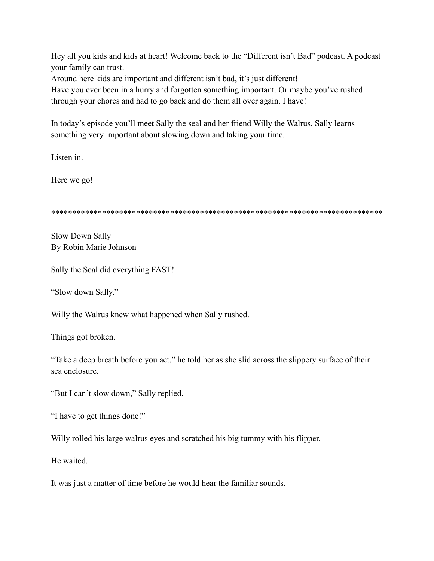Hey all you kids and kids at heart! Welcome back to the "Different isn't Bad" podcast. A podcast your family can trust.

Around here kids are important and different isn't bad, it's just different!

Have you ever been in a hurry and forgotten something important. Or maybe you've rushed through your chores and had to go back and do them all over again. I have!

In today's episode you'll meet Sally the seal and her friend Willy the Walrus. Sally learns something very important about slowing down and taking your time.

Listen in.

Here we go!

\*\*\*\*\*\*\*\*\*\*\*\*\*\*\*\*\*\*\*\*\*\*\*\*\*\*\*\*\*\*\*\*\*\*\*\*\*\*\*\*\*\*\*\*\*\*\*\*\*\*\*\*\*\*\*\*\*\*\*\*\*\*\*\*\*\*\*\*\*\*\*\*\*\*\*\*\*\*

Slow Down Sally By Robin Marie Johnson

Sally the Seal did everything FAST!

"Slow down Sally."

Willy the Walrus knew what happened when Sally rushed.

Things got broken.

"Take a deep breath before you act." he told her as she slid across the slippery surface of their sea enclosure.

"But I can't slow down," Sally replied.

"I have to get things done!"

Willy rolled his large walrus eyes and scratched his big tummy with his flipper.

He waited.

It was just a matter of time before he would hear the familiar sounds.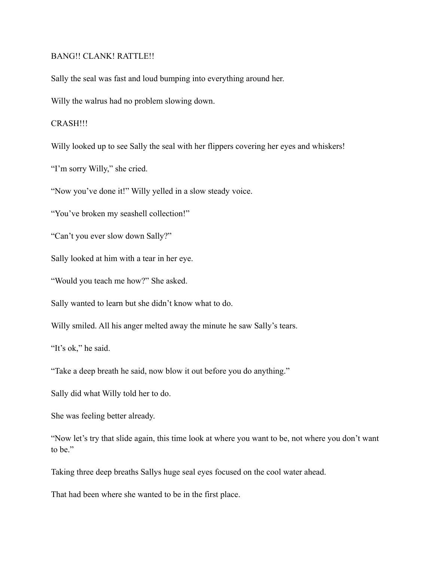## BANG!! CLANK! RATTLE!!

Sally the seal was fast and loud bumping into everything around her.

Willy the walrus had no problem slowing down.

## CRASH!!!

Willy looked up to see Sally the seal with her flippers covering her eyes and whiskers!

"I'm sorry Willy," she cried.

"Now you've done it!" Willy yelled in a slow steady voice.

"You've broken my seashell collection!"

"Can't you ever slow down Sally?"

Sally looked at him with a tear in her eye.

"Would you teach me how?" She asked.

Sally wanted to learn but she didn't know what to do.

Willy smiled. All his anger melted away the minute he saw Sally's tears.

"It's ok," he said.

"Take a deep breath he said, now blow it out before you do anything."

Sally did what Willy told her to do.

She was feeling better already.

"Now let's try that slide again, this time look at where you want to be, not where you don't want to be."

Taking three deep breaths Sallys huge seal eyes focused on the cool water ahead.

That had been where she wanted to be in the first place.